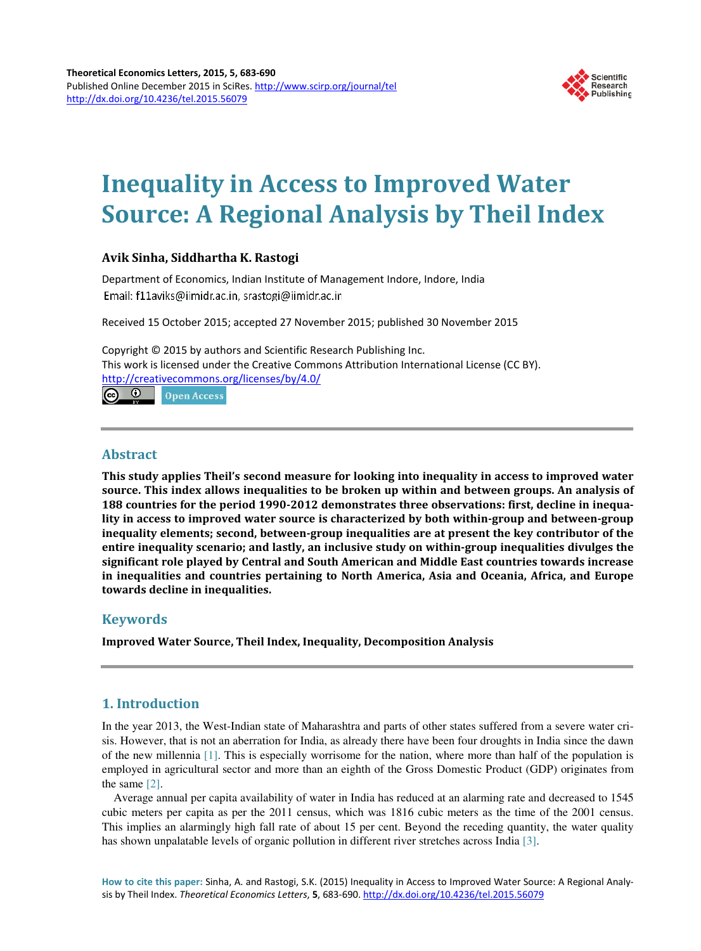

# **Inequality in Access to Improved Water Source: A Regional Analysis by Theil Index**

## **Avik Sinha, Siddhartha K. Rastogi**

Department of Economics, Indian Institute of Management Indore, Indore, India Email: f11aviks@iimidr.ac.in, srastogi@iimidr.ac.in

Received 15 October 2015; accepted 27 November 2015; published 30 November 2015

Copyright © 2015 by authors and Scientific Research Publishing Inc. This work is licensed under the Creative Commons Attribution International License (CC BY). http://creativecommons.org/licenses/by/4.0/  $\circ$ **Open Access** 

**Abstract**

**This study applies Theil's second measure for looking into inequality in access to improved water source. This index allows inequalities to be broken up within and between groups. An analysis of 188 countries for the period 1990-2012 demonstrates three observations: first, decline in inequality in access to improved water source is characterized by both within-group and between-group inequality elements; second, between-group inequalities are at present the key contributor of the entire inequality scenario; and lastly, an inclusive study on within-group inequalities divulges the significant role played by Central and South American and Middle East countries towards increase in inequalities and countries pertaining to North America, Asia and Oceania, Africa, and Europe towards decline in inequalities.**

# **Keywords**

**Improved Water Source, Theil Index, Inequality, Decomposition Analysis**

# **1. Introduction**

In the year 2013, the West-Indian state of Maharashtra and parts of other states suffered from a severe water crisis. However, that is not an aberration for India, as already there have been four droughts in India since the dawn of the new millennia [1]. This is especially worrisome for the nation, where more than half of the population is employed in agricultural sector and more than an eighth of the Gross Domestic Product (GDP) originates from the same [2].

Average annual per capita availability of water in India has reduced at an alarming rate and decreased to 1545 cubic meters per capita as per the 2011 census, which was 1816 cubic meters as the time of the 2001 census. This implies an alarmingly high fall rate of about 15 per cent. Beyond the receding quantity, the water quality has shown unpalatable levels of organic pollution in different river stretches across India [3].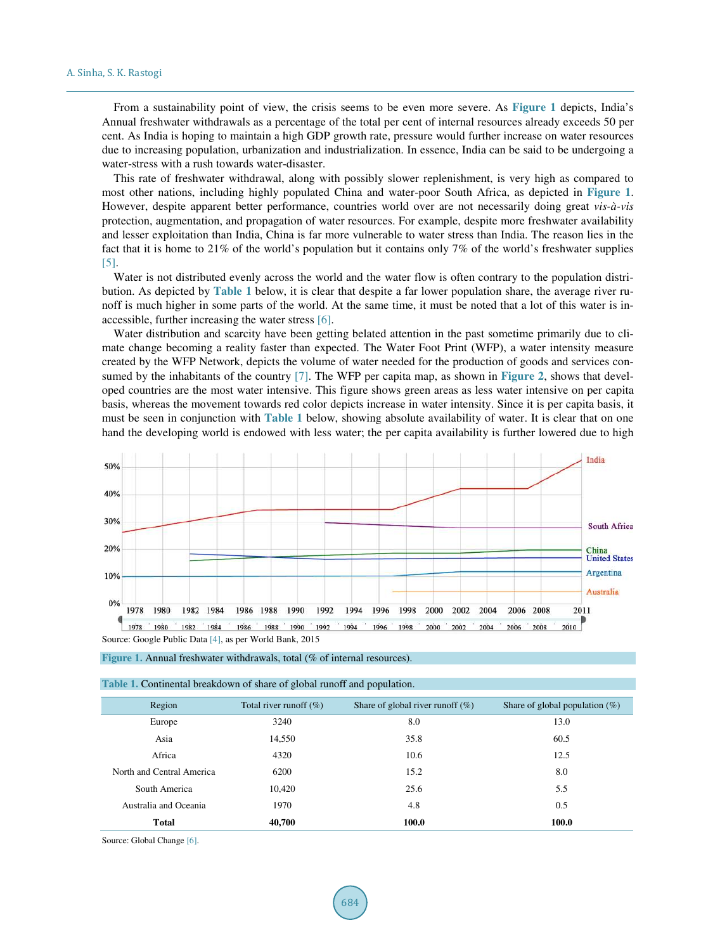From a sustainability point of view, the crisis seems to be even more severe. As **Figure 1** depicts, India's Annual freshwater withdrawals as a percentage of the total per cent of internal resources already exceeds 50 per cent. As India is hoping to maintain a high GDP growth rate, pressure would further increase on water resources due to increasing population, urbanization and industrialization. In essence, India can be said to be undergoing a water-stress with a rush towards water-disaster.

This rate of freshwater withdrawal, along with possibly slower replenishment, is very high as compared to most other nations, including highly populated China and water-poor South Africa, as depicted in **Figure 1**. However, despite apparent better performance, countries world over are not necessarily doing great *vis-à-vis* protection, augmentation, and propagation of water resources. For example, despite more freshwater availability and lesser exploitation than India, China is far more vulnerable to water stress than India. The reason lies in the fact that it is home to 21% of the world's population but it contains only 7% of the world's freshwater supplies [5].

Water is not distributed evenly across the world and the water flow is often contrary to the population distribution. As depicted by **Table 1** below, it is clear that despite a far lower population share, the average river runoff is much higher in some parts of the world. At the same time, it must be noted that a lot of this water is inaccessible, further increasing the water stress [6].

Water distribution and scarcity have been getting belated attention in the past sometime primarily due to climate change becoming a reality faster than expected. The Water Foot Print (WFP), a water intensity measure created by the WFP Network, depicts the volume of water needed for the production of goods and services consumed by the inhabitants of the country [7]. The WFP per capita map, as shown in **Figure 2**, shows that developed countries are the most water intensive. This figure shows green areas as less water intensive on per capita basis, whereas the movement towards red color depicts increase in water intensity. Since it is per capita basis, it must be seen in conjunction with **Table 1** below, showing absolute availability of water. It is clear that on one hand the developing world is endowed with less water; the per capita availability is further lowered due to high



Figure 1. Annual freshwater withdrawals, total (% of internal resources).

**Table 1.** Continental breakdown of share of global runoff and population.

| Region                    | Total river runoff $(\% )$ | Share of global river runoff $(\%)$ | Share of global population $(\%)$ |  |
|---------------------------|----------------------------|-------------------------------------|-----------------------------------|--|
| Europe                    | 3240                       | 8.0                                 | 13.0                              |  |
| Asia                      | 14,550                     | 35.8                                | 60.5                              |  |
| Africa                    | 4320                       | 10.6                                | 12.5                              |  |
| North and Central America | 6200                       | 15.2                                | 8.0                               |  |
| South America             | 10.420                     | 25.6                                | 5.5                               |  |
| Australia and Oceania     | 1970                       | 4.8                                 | 0.5                               |  |
| <b>Total</b>              | 40,700                     | 100.0                               | 100.0                             |  |

Source: Global Change [6].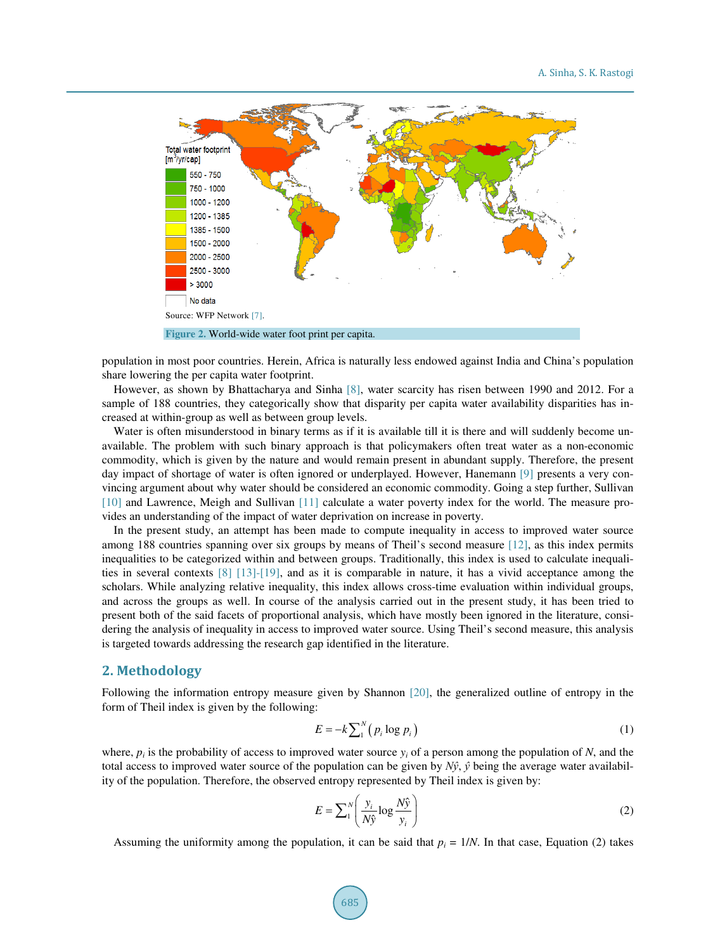

population in most poor countries. Herein, Africa is naturally less endowed against India and China's population share lowering the per capita water footprint.

However, as shown by Bhattacharya and Sinha [8], water scarcity has risen between 1990 and 2012. For a sample of 188 countries, they categorically show that disparity per capita water availability disparities has increased at within-group as well as between group levels.

Water is often misunderstood in binary terms as if it is available till it is there and will suddenly become unavailable. The problem with such binary approach is that policymakers often treat water as a non-economic commodity, which is given by the nature and would remain present in abundant supply. Therefore, the present day impact of shortage of water is often ignored or underplayed. However, Hanemann [9] presents a very convincing argument about why water should be considered an economic commodity. Going a step further, Sullivan [10] and Lawrence, Meigh and Sullivan [11] calculate a water poverty index for the world. The measure provides an understanding of the impact of water deprivation on increase in poverty.

In the present study, an attempt has been made to compute inequality in access to improved water source among 188 countries spanning over six groups by means of Theil's second measure [12], as this index permits inequalities to be categorized within and between groups. Traditionally, this index is used to calculate inequalities in several contexts [8] [13]-[19], and as it is comparable in nature, it has a vivid acceptance among the scholars. While analyzing relative inequality, this index allows cross-time evaluation within individual groups, and across the groups as well. In course of the analysis carried out in the present study, it has been tried to present both of the said facets of proportional analysis, which have mostly been ignored in the literature, considering the analysis of inequality in access to improved water source. Using Theil's second measure, this analysis is targeted towards addressing the research gap identified in the literature.

### **2. Methodology**

Following the information entropy measure given by Shannon [20], the generalized outline of entropy in the form of Theil index is given by the following:

$$
E = -k \sum_{i=1}^{N} \left( p_i \log p_i \right) \tag{1}
$$

where,  $p_i$  is the probability of access to improved water source  $y_i$  of a person among the population of *N*, and the total access to improved water source of the population can be given by  $N\hat{y}$ ,  $\hat{y}$  being the average water availability of the population. Therefore, the observed entropy represented by Theil index is given by:

$$
E = \sum_{i}^{N} \left( \frac{y_i}{N\hat{y}} \log \frac{N\hat{y}}{y_i} \right)
$$
 (2)

Assuming the uniformity among the population, it can be said that  $p_i = 1/N$ . In that case, Equation (2) takes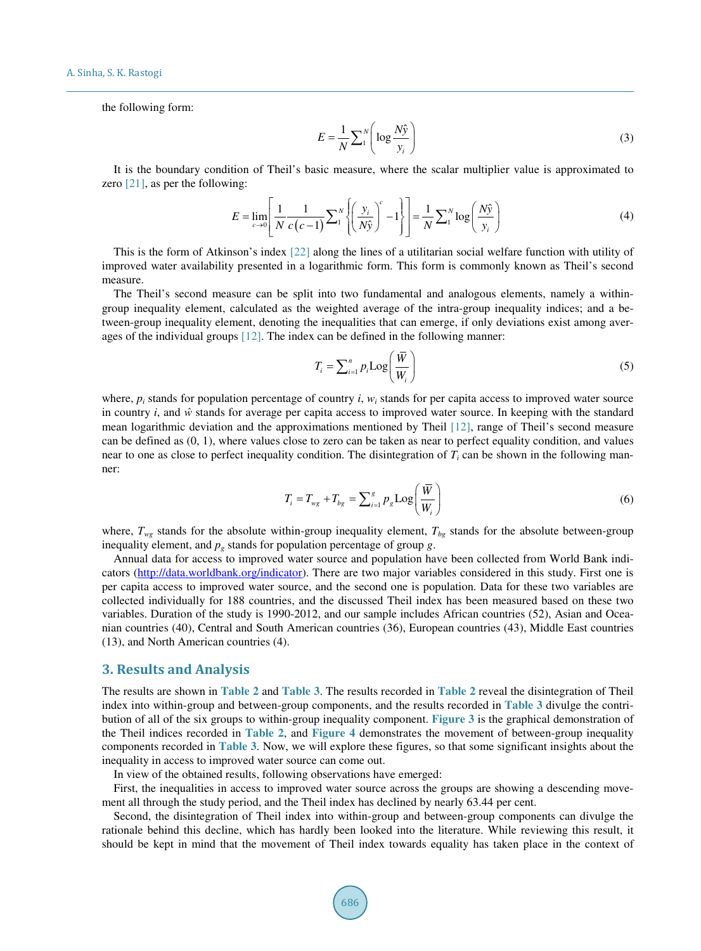the following form:

$$
E = \frac{1}{N} \sum_{i=1}^{N} \left( \log \frac{N\hat{y}}{y_i} \right)
$$
 (3)

It is the boundary condition of Theil's basic measure, where the scalar multiplier value is approximated to zero [21], as per the following:

$$
E = \lim_{c \to 0} \left[ \frac{1}{N} \frac{1}{c(c-1)} \sum_{i}^{N} \left\{ \left( \frac{y_i}{N\hat{y}} \right)^c - 1 \right\} \right] = \frac{1}{N} \sum_{i}^{N} \log \left( \frac{N\hat{y}}{y_i} \right)
$$
(4)

This is the form of Atkinson's index [22] along the lines of a utilitarian social welfare function with utility of improved water availability presented in a logarithmic form. This form is commonly known as Theil's second measure.

The Theil's second measure can be split into two fundamental and analogous elements, namely a withingroup inequality element, calculated as the weighted average of the intra-group inequality indices; and a between-group inequality element, denoting the inequalities that can emerge, if only deviations exist among averages of the individual groups [12]. The index can be defined in the following manner:

$$
T_i = \sum_{i=1}^{n} p_i \text{Log}\left(\frac{\overline{W}}{W_i}\right) \tag{5}
$$

where,  $p_i$  stands for population percentage of country  $i$ ,  $w_i$  stands for per capita access to improved water source in country  $i$ , and  $\hat{w}$  stands for average per capita access to improved water source. In keeping with the standard mean logarithmic deviation and the approximations mentioned by Theil [12], range of Theil's second measure can be defined as (0, 1), where values close to zero can be taken as near to perfect equality condition, and values near to one as close to perfect inequality condition. The disintegration of  $T_i$  can be shown in the following manner:

$$
T_i = T_{wg} + T_{bg} = \sum_{i=1}^{g} p_g \text{Log}\left(\frac{\bar{W}}{W_i}\right)
$$
\n
$$
(6)
$$

where,  $T_{we}$  stands for the absolute within-group inequality element,  $T_{bg}$  stands for the absolute between-group inequality element, and  $p<sub>g</sub>$  stands for population percentage of group *g*.

Annual data for access to improved water source and population have been collected from World Bank indicators (http://data.worldbank.org/indicator). There are two major variables considered in this study. First one is per capita access to improved water source, and the second one is population. Data for these two variables are collected individually for 188 countries, and the discussed Theil index has been measured based on these two variables. Duration of the study is 1990-2012, and our sample includes African countries (52), Asian and Oceanian countries (40), Central and South American countries (36), European countries (43), Middle East countries (13), and North American countries (4).

#### **3. Results and Analysis**

The results are shown in **Table 2** and **Table 3**. The results recorded in **Table 2** reveal the disintegration of Theil index into within-group and between-group components, and the results recorded in **Table 3** divulge the contribution of all of the six groups to within-group inequality component. **Figure 3** is the graphical demonstration of the Theil indices recorded in **Table 2**, and **Figure 4** demonstrates the movement of between-group inequality components recorded in **Table 3**. Now, we will explore these figures, so that some significant insights about the inequality in access to improved water source can come out.

In view of the obtained results, following observations have emerged:

First, the inequalities in access to improved water source across the groups are showing a descending movement all through the study period, and the Theil index has declined by nearly 63.44 per cent.

Second, the disintegration of Theil index into within-group and between-group components can divulge the rationale behind this decline, which has hardly been looked into the literature. While reviewing this result, it should be kept in mind that the movement of Theil index towards equality has taken place in the context of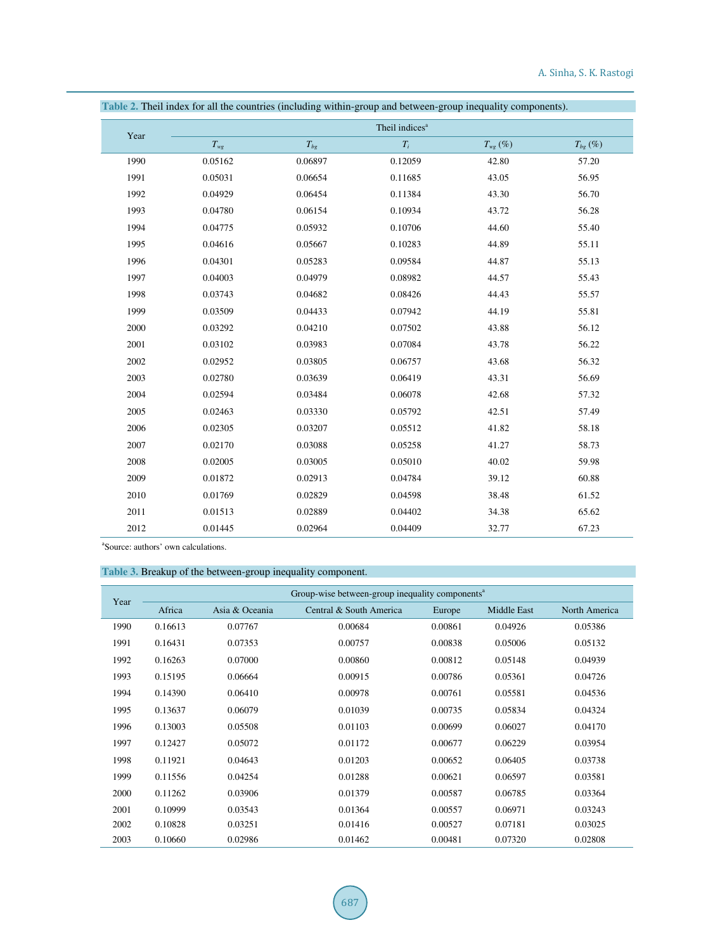|      |              |          | Theil indices <sup>a</sup> |              |              |
|------|--------------|----------|----------------------------|--------------|--------------|
| Year | $T_{\rm wg}$ | $T_{bg}$ | $T_i$                      | $T_{wg}$ (%) | $T_{bg}$ (%) |
| 1990 | 0.05162      | 0.06897  | 0.12059                    | 42.80        | 57.20        |
| 1991 | 0.05031      | 0.06654  | 0.11685                    | 43.05        | 56.95        |
| 1992 | 0.04929      | 0.06454  | 0.11384                    | 43.30        | 56.70        |
| 1993 | 0.04780      | 0.06154  | 0.10934                    | 43.72        | 56.28        |
| 1994 | 0.04775      | 0.05932  | 0.10706                    | 44.60        | 55.40        |
| 1995 | 0.04616      | 0.05667  | 0.10283                    | 44.89        | 55.11        |
| 1996 | 0.04301      | 0.05283  | 0.09584                    | 44.87        | 55.13        |
| 1997 | 0.04003      | 0.04979  | 0.08982                    | 44.57        | 55.43        |
| 1998 | 0.03743      | 0.04682  | 0.08426                    | 44.43        | 55.57        |
| 1999 | 0.03509      | 0.04433  | 0.07942                    | 44.19        | 55.81        |
| 2000 | 0.03292      | 0.04210  | 0.07502                    | 43.88        | 56.12        |
| 2001 | 0.03102      | 0.03983  | 0.07084                    | 43.78        | 56.22        |
| 2002 | 0.02952      | 0.03805  | 0.06757                    | 43.68        | 56.32        |
| 2003 | 0.02780      | 0.03639  | 0.06419                    | 43.31        | 56.69        |
| 2004 | 0.02594      | 0.03484  | 0.06078                    | 42.68        | 57.32        |
| 2005 | 0.02463      | 0.03330  | 0.05792                    | 42.51        | 57.49        |
| 2006 | 0.02305      | 0.03207  | 0.05512                    | 41.82        | 58.18        |
| 2007 | 0.02170      | 0.03088  | 0.05258                    | 41.27        | 58.73        |
| 2008 | 0.02005      | 0.03005  | 0.05010                    | 40.02        | 59.98        |
| 2009 | 0.01872      | 0.02913  | 0.04784                    | 39.12        | 60.88        |
| 2010 | 0.01769      | 0.02829  | 0.04598                    | 38.48        | 61.52        |
| 2011 | 0.01513      | 0.02889  | 0.04402                    | 34.38        | 65.62        |
| 2012 | 0.01445      | 0.02964  | 0.04409                    | 32.77        | 67.23        |

**Table 2.** Theil index for all the countries (including within-group and between-group inequality components).

a Source: authors' own calculations.

#### **Table 3.** Breakup of the between-group inequality component.

| Year | Group-wise between-group inequality components <sup>a</sup> |                |                         |         |                    |               |
|------|-------------------------------------------------------------|----------------|-------------------------|---------|--------------------|---------------|
|      | Africa                                                      | Asia & Oceania | Central & South America | Europe  | <b>Middle East</b> | North America |
| 1990 | 0.16613                                                     | 0.07767        | 0.00684                 | 0.00861 | 0.04926            | 0.05386       |
| 1991 | 0.16431                                                     | 0.07353        | 0.00757                 | 0.00838 | 0.05006            | 0.05132       |
| 1992 | 0.16263                                                     | 0.07000        | 0.00860                 | 0.00812 | 0.05148            | 0.04939       |
| 1993 | 0.15195                                                     | 0.06664        | 0.00915                 | 0.00786 | 0.05361            | 0.04726       |
| 1994 | 0.14390                                                     | 0.06410        | 0.00978                 | 0.00761 | 0.05581            | 0.04536       |
| 1995 | 0.13637                                                     | 0.06079        | 0.01039                 | 0.00735 | 0.05834            | 0.04324       |
| 1996 | 0.13003                                                     | 0.05508        | 0.01103                 | 0.00699 | 0.06027            | 0.04170       |
| 1997 | 0.12427                                                     | 0.05072        | 0.01172                 | 0.00677 | 0.06229            | 0.03954       |
| 1998 | 0.11921                                                     | 0.04643        | 0.01203                 | 0.00652 | 0.06405            | 0.03738       |
| 1999 | 0.11556                                                     | 0.04254        | 0.01288                 | 0.00621 | 0.06597            | 0.03581       |
| 2000 | 0.11262                                                     | 0.03906        | 0.01379                 | 0.00587 | 0.06785            | 0.03364       |
| 2001 | 0.10999                                                     | 0.03543        | 0.01364                 | 0.00557 | 0.06971            | 0.03243       |
| 2002 | 0.10828                                                     | 0.03251        | 0.01416                 | 0.00527 | 0.07181            | 0.03025       |
| 2003 | 0.10660                                                     | 0.02986        | 0.01462                 | 0.00481 | 0.07320            | 0.02808       |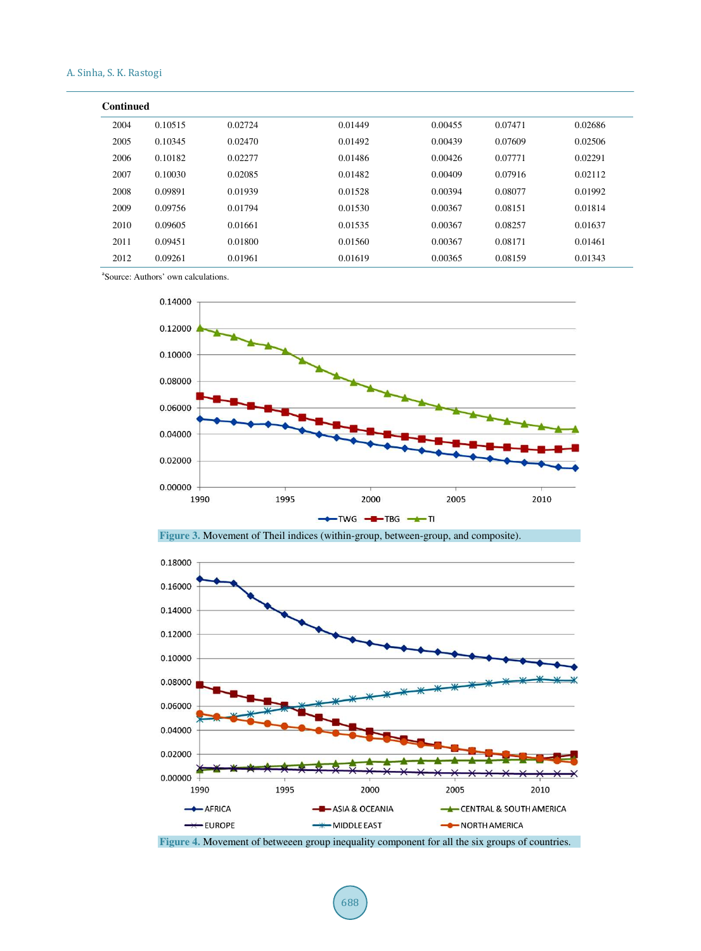| <b>Continued</b> |         |         |         |         |         |         |
|------------------|---------|---------|---------|---------|---------|---------|
| 2004             | 0.10515 | 0.02724 | 0.01449 | 0.00455 | 0.07471 | 0.02686 |
| 2005             | 0.10345 | 0.02470 | 0.01492 | 0.00439 | 0.07609 | 0.02506 |
| 2006             | 0.10182 | 0.02277 | 0.01486 | 0.00426 | 0.07771 | 0.02291 |
| 2007             | 0.10030 | 0.02085 | 0.01482 | 0.00409 | 0.07916 | 0.02112 |
| 2008             | 0.09891 | 0.01939 | 0.01528 | 0.00394 | 0.08077 | 0.01992 |
| 2009             | 0.09756 | 0.01794 | 0.01530 | 0.00367 | 0.08151 | 0.01814 |
| 2010             | 0.09605 | 0.01661 | 0.01535 | 0.00367 | 0.08257 | 0.01637 |
| 2011             | 0.09451 | 0.01800 | 0.01560 | 0.00367 | 0.08171 | 0.01461 |
| 2012             | 0.09261 | 0.01961 | 0.01619 | 0.00365 | 0.08159 | 0.01343 |

a Source: Authors' own calculations.







**Figure 4.** Movement of betweeen group inequality component for all the six groups of countries.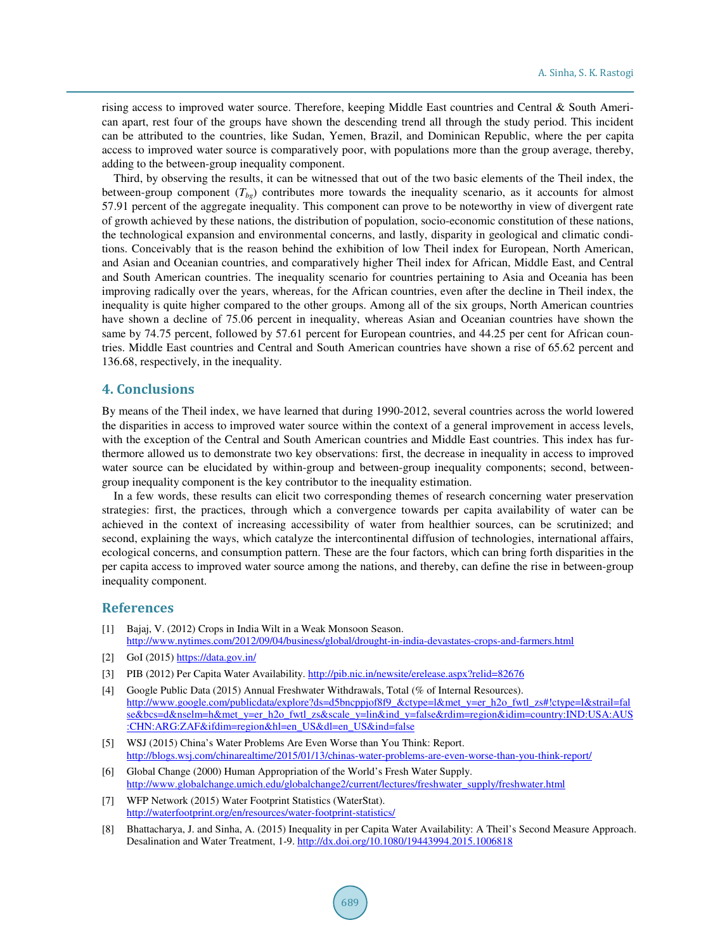rising access to improved water source. Therefore, keeping Middle East countries and Central & South American apart, rest four of the groups have shown the descending trend all through the study period. This incident can be attributed to the countries, like Sudan, Yemen, Brazil, and Dominican Republic, where the per capita access to improved water source is comparatively poor, with populations more than the group average, thereby, adding to the between-group inequality component.

Third, by observing the results, it can be witnessed that out of the two basic elements of the Theil index, the between-group component (*Tbg*) contributes more towards the inequality scenario, as it accounts for almost 57.91 percent of the aggregate inequality. This component can prove to be noteworthy in view of divergent rate of growth achieved by these nations, the distribution of population, socio-economic constitution of these nations, the technological expansion and environmental concerns, and lastly, disparity in geological and climatic conditions. Conceivably that is the reason behind the exhibition of low Theil index for European, North American, and Asian and Oceanian countries, and comparatively higher Theil index for African, Middle East, and Central and South American countries. The inequality scenario for countries pertaining to Asia and Oceania has been improving radically over the years, whereas, for the African countries, even after the decline in Theil index, the inequality is quite higher compared to the other groups. Among all of the six groups, North American countries have shown a decline of 75.06 percent in inequality, whereas Asian and Oceanian countries have shown the same by 74.75 percent, followed by 57.61 percent for European countries, and 44.25 per cent for African countries. Middle East countries and Central and South American countries have shown a rise of 65.62 percent and 136.68, respectively, in the inequality.

## **4. Conclusions**

By means of the Theil index, we have learned that during 1990-2012, several countries across the world lowered the disparities in access to improved water source within the context of a general improvement in access levels, with the exception of the Central and South American countries and Middle East countries. This index has furthermore allowed us to demonstrate two key observations: first, the decrease in inequality in access to improved water source can be elucidated by within-group and between-group inequality components; second, betweengroup inequality component is the key contributor to the inequality estimation.

In a few words, these results can elicit two corresponding themes of research concerning water preservation strategies: first, the practices, through which a convergence towards per capita availability of water can be achieved in the context of increasing accessibility of water from healthier sources, can be scrutinized; and second, explaining the ways, which catalyze the intercontinental diffusion of technologies, international affairs, ecological concerns, and consumption pattern. These are the four factors, which can bring forth disparities in the per capita access to improved water source among the nations, and thereby, can define the rise in between-group inequality component.

#### **References**

- [1] Bajaj, V. (2012) Crops in India Wilt in a Weak Monsoon Season. http://www.nytimes.com/2012/09/04/business/global/drought-in-india-devastates-crops-and-farmers.html
- [2] GoI (2015) https://data.gov.in/
- [3] PIB (2012) Per Capita Water Availability. http://pib.nic.in/newsite/erelease.aspx?relid=82676
- [4] Google Public Data (2015) Annual Freshwater Withdrawals, Total (% of Internal Resources). http://www.google.com/publicdata/explore?ds=d5bncppjof8f9\_&ctype=l&met\_y=er\_h2o\_fwtl\_zs#!ctype=l&strail=fal se&bcs=d&nselm=h&met\_y=er\_h2o\_fwtl\_zs&scale\_y=lin&ind\_y=false&rdim=region&idim=country:IND:USA:AUS :CHN:ARG:ZAF&ifdim=region&hl=en\_US&dl=en\_US&ind=false
- [5] WSJ (2015) China's Water Problems Are Even Worse than You Think: Report. http://blogs.wsj.com/chinarealtime/2015/01/13/chinas-water-problems-are-even-worse-than-you-think-report/
- [6] Global Change (2000) Human Appropriation of the World's Fresh Water Supply. http://www.globalchange.umich.edu/globalchange2/current/lectures/freshwater\_supply/freshwater.html
- [7] WFP Network (2015) Water Footprint Statistics (WaterStat). http://waterfootprint.org/en/resources/water-footprint-statistics/
- [8] Bhattacharya, J. and Sinha, A. (2015) Inequality in per Capita Water Availability: A Theil's Second Measure Approach. Desalination and Water Treatment, 1-9. http://dx.doi.org/10.1080/19443994.2015.1006818